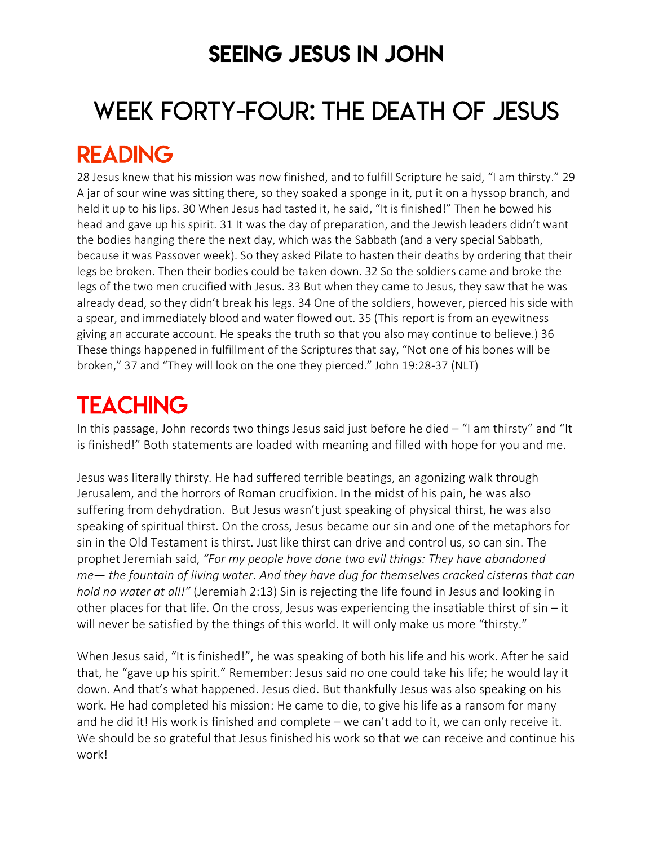### SEEING JESUS IN JOHN

# WEEK FORTY-FOUR: THE DEATH OF JESUS READING

#### 28 Jesus knew that his mission was now finished, and to fulfill Scripture he said, "I am thirsty." 29 A jar of sour wine was sitting there, so they soaked a sponge in it, put it on a hyssop branch, and held it up to his lips. 30 When Jesus had tasted it, he said, "It is finished!" Then he bowed his head and gave up his spirit. 31 It was the day of preparation, and the Jewish leaders didn't want the bodies hanging there the next day, which was the Sabbath (and a very special Sabbath, because it was Passover week). So they asked Pilate to hasten their deaths by ordering that their legs be broken. Then their bodies could be taken down. 32 So the soldiers came and broke the legs of the two men crucified with Jesus. 33 But when they came to Jesus, they saw that he was already dead, so they didn't break his legs. 34 One of the soldiers, however, pierced his side with a spear, and immediately blood and water flowed out. 35 (This report is from an eyewitness giving an accurate account. He speaks the truth so that you also may continue to believe.) 36 These things happened in fulfillment of the Scriptures that say, "Not one of his bones will be broken," 37 and "They will look on the one they pierced." John 19:28-37 (NLT)

## **TEACHING**

In this passage, John records two things Jesus said just before he died – "I am thirsty" and "It is finished!" Both statements are loaded with meaning and filled with hope for you and me.

Jesus was literally thirsty. He had suffered terrible beatings, an agonizing walk through Jerusalem, and the horrors of Roman crucifixion. In the midst of his pain, he was also suffering from dehydration. But Jesus wasn't just speaking of physical thirst, he was also speaking of spiritual thirst. On the cross, Jesus became our sin and one of the metaphors for sin in the Old Testament is thirst. Just like thirst can drive and control us, so can sin. The prophet Jeremiah said, *"For my people have done two evil things: They have abandoned me— the fountain of living water. And they have dug for themselves cracked cisterns that can hold no water at all!"* (Jeremiah 2:13) Sin is rejecting the life found in Jesus and looking in other places for that life. On the cross, Jesus was experiencing the insatiable thirst of sin – it will never be satisfied by the things of this world. It will only make us more "thirsty."

When Jesus said, "It is finished!", he was speaking of both his life and his work. After he said that, he "gave up his spirit." Remember: Jesus said no one could take his life; he would lay it down. And that's what happened. Jesus died. But thankfully Jesus was also speaking on his work. He had completed his mission: He came to die, to give his life as a ransom for many and he did it! His work is finished and complete – we can't add to it, we can only receive it. We should be so grateful that Jesus finished his work so that we can receive and continue his work!